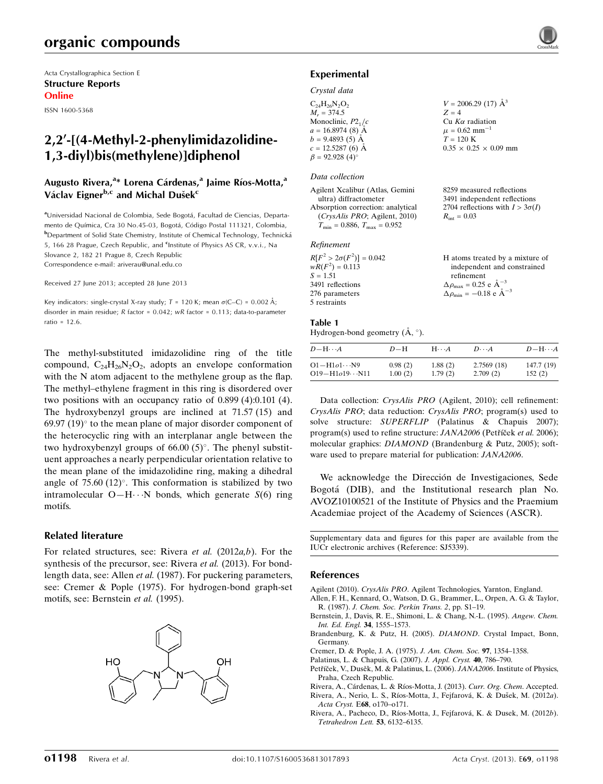# organic compounds

Acta Crystallographica Section E Structure Reports Online

ISSN 1600-5368

## 2,2'-[(4-Methyl-2-phenylimidazolidine-1,3-diyl)bis(methylene)]diphenol

## Augusto Rivera,<sup>a</sup>\* Lorena Cárdenas,<sup>a</sup> Jaime Ríos-Motta,<sup>a</sup> Václav Eigner<sup>b,c</sup> and Michal Dušek<sup>c</sup>

aUniversidad Nacional de Colombia, Sede Bogotá, Facultad de Ciencias, Departamento de Química, Cra 30 No.45-03, Bogotá, Código Postal 111321, Colombia, **b**Department of Solid State Chemistry, Institute of Chemical Technology, Technická 5, 166 28 Prague, Czech Republic, and <sup>c</sup>Institute of Physics AS CR, v.v.i., Na Slovance 2, 182 21 Prague 8, Czech Republic Correspondence e-mail: [ariverau@unal.edu.co](https://scripts.iucr.org/cgi-bin/cr.cgi?rm=pdfbb&cnor=sj5339&bbid=BB10)

Received 27 June 2013; accepted 28 June 2013

Key indicators: single-crystal X-ray study;  $T = 120$  K; mean  $\sigma$ (C–C) = 0.002 Å; disorder in main residue; R factor = 0.042; wR factor = 0.113; data-to-parameter ratio = 12.6.

The methyl-substituted imidazolidine ring of the title compound,  $C_{24}H_{26}N_2O_2$ , adopts an envelope conformation with the N atom adjacent to the methylene group as the flap. The methyl–ethylene fragment in this ring is disordered over two positions with an occupancy ratio of 0.899 (4):0.101 (4). The hydroxybenzyl groups are inclined at 71.57 (15) and  $69.97$  (19) $^{\circ}$  to the mean plane of major disorder component of the heterocyclic ring with an interplanar angle between the two hydroxybenzyl groups of  $66.00(5)^\circ$ . The phenyl substituent approaches a nearly perpendicular orientation relative to the mean plane of the imidazolidine ring, making a dihedral angle of  $75.60$   $(12)^\circ$ . This conformation is stabilized by two intramolecular O-H $\cdots$ N bonds, which generate  $S(6)$  ring motifs.

### Related literature

For related structures, see: Rivera et al. (2012a,b). For the synthesis of the precursor, see: Rivera *et al.* (2013). For bondlength data, see: Allen et al. (1987). For puckering parameters, see: Cremer & Pople (1975). For hydrogen-bond graph-set motifs, see: Bernstein et al. (1995).



### Experimental

### Crystal data

| $C_{24}H_{26}N_2O_2$  | $V = 2006.29$ (17) $\AA^3$        |
|-----------------------|-----------------------------------|
| $M_r = 374.5$         | $Z = 4$                           |
| Monoclinic, $P2_1/c$  | $Cu$ K $\alpha$ radiation         |
| $a = 16.8974(8)$ Å    | $\mu = 0.62$ mm <sup>-1</sup>     |
| $b = 9.4893(5)$ Å     | $T = 120 \text{ K}$               |
| $c = 12.5287(6)$ Å    | $0.35 \times 0.25 \times 0.09$ mm |
| $\beta = 92.928(4)$ ° |                                   |

### Data collection

| Agilent Xcalibur (Atlas, Gemini                     |
|-----------------------------------------------------|
| ultra) diffractometer                               |
| Absorption correction: analytical                   |
| (CrysAlis PRO; Agilent, 2010)                       |
| $T_{\text{min}} = 0.886$ , $T_{\text{max}} = 0.952$ |
|                                                     |
| Refinement                                          |
| $R[F^2 > 2\sigma(F^2)] = 0.042$                     |

| $R[F^2 > 2\sigma(F^2)] = 0.042$ | H atoms treated by a mixture of                       |
|---------------------------------|-------------------------------------------------------|
| $wR(F^2) = 0.113$               | independent and constrained                           |
| $S = 1.51$                      | refinement                                            |
| 3491 reflections                | $\Delta \rho_{\text{max}} = 0.25$ e $\text{\AA}^{-3}$ |
| 276 parameters                  | $\Delta \rho_{\text{min}} = -0.18 \text{ e A}^{-3}$   |
| 5 restraints                    |                                                       |
|                                 |                                                       |

8259 measured reflections 3491 independent reflections 2704 reflections with  $I > 3\sigma(I)$ 

 $R_{\text{int}} = 0.03$ 

### Table 1

Hydrogen-bond geometry  $(\AA, \degree)$ .

| $D - H \cdots A$         | $D-H$   | $H\cdots A$ | $D \cdot \cdot \cdot A$ | $D - H \cdots A$ |
|--------------------------|---------|-------------|-------------------------|------------------|
| $O1 - H1o1 \cdots N9$    | 0.98(2) | 1.88(2)     | 2.7569 (18)             | 147.7 (19)       |
| $O19 - H1o19 \cdots N11$ | 1.00(2) | 1.79(2)     | 2.709(2)                | 152(2)           |

Data collection: CrysAlis PRO (Agilent, 2010); cell refinement: CrysAlis PRO; data reduction: CrysAlis PRO; program(s) used to solve structure: SUPERFLIP (Palatinus & Chapuis 2007); program(s) used to refine structure: JANA2006 (Petříček et al. 2006); molecular graphics: DIAMOND (Brandenburg & Putz, 2005); software used to prepare material for publication: JANA2006.

We acknowledge the Dirección de Investigaciones, Sede Bogota´ (DIB), and the Institutional research plan No. AVOZ10100521 of the Institute of Physics and the Praemium Academiae project of the Academy of Sciences (ASCR).

Supplementary data and figures for this paper are available from the IUCr electronic archives (Reference: SJ5339).

### References

Agilent (2010). CrysAlis PRO[. Agilent Technologies, Yarnton, England.](https://scripts.iucr.org/cgi-bin/cr.cgi?rm=pdfbb&cnor=sj5339&bbid=BB1) [Allen, F. H., Kennard, O., Watson, D. G., Brammer, L., Orpen, A. G. & Taylor,](https://scripts.iucr.org/cgi-bin/cr.cgi?rm=pdfbb&cnor=sj5339&bbid=BB2)

- R. (1987). [J. Chem. Soc. Perkin Trans. 2](https://scripts.iucr.org/cgi-bin/cr.cgi?rm=pdfbb&cnor=sj5339&bbid=BB2), pp. S1–19. [Bernstein, J., Davis, R. E., Shimoni, L. & Chang, N.-L. \(1995\).](https://scripts.iucr.org/cgi-bin/cr.cgi?rm=pdfbb&cnor=sj5339&bbid=BB3) Angew. Chem. [Int. Ed. Engl.](https://scripts.iucr.org/cgi-bin/cr.cgi?rm=pdfbb&cnor=sj5339&bbid=BB3) 34, 1555–1573.
- [Brandenburg, K. & Putz, H. \(2005\).](https://scripts.iucr.org/cgi-bin/cr.cgi?rm=pdfbb&cnor=sj5339&bbid=BB4) DIAMOND. Crystal Impact, Bonn, [Germany.](https://scripts.iucr.org/cgi-bin/cr.cgi?rm=pdfbb&cnor=sj5339&bbid=BB4)
- [Cremer, D. & Pople, J. A. \(1975\).](https://scripts.iucr.org/cgi-bin/cr.cgi?rm=pdfbb&cnor=sj5339&bbid=BB5) J. Am. Chem. Soc. 97, 1354–1358.
- [Palatinus, L. & Chapuis, G. \(2007\).](https://scripts.iucr.org/cgi-bin/cr.cgi?rm=pdfbb&cnor=sj5339&bbid=BB6) J. Appl. Cryst. 40, 786–790.
- Petříček, V., Dusěk, M. & Palatinus, L. (2006). JANA2006. Institute of Physics, [Praha, Czech Republic.](https://scripts.iucr.org/cgi-bin/cr.cgi?rm=pdfbb&cnor=sj5339&bbid=BB7)

Rivera, A., Cárdenas, L. & Ríos-Motta, J. (2013). Curr. Org. Chem. Accepted.

Rivera, A., Nerio, L. S., Ríos-Motta, J., Fejfarová, K. & Dušek, M. (2012a). Acta Cryst. E68[, o170–o171.](https://scripts.iucr.org/cgi-bin/cr.cgi?rm=pdfbb&cnor=sj5339&bbid=BB9)

Rivera, A., Pacheco, D., Ríos-Motta, J., Fejfarová, K. & Dusek, M. (2012b). [Tetrahedron Lett.](https://scripts.iucr.org/cgi-bin/cr.cgi?rm=pdfbb&cnor=sj5339&bbid=BB10) 53, 6132–6135.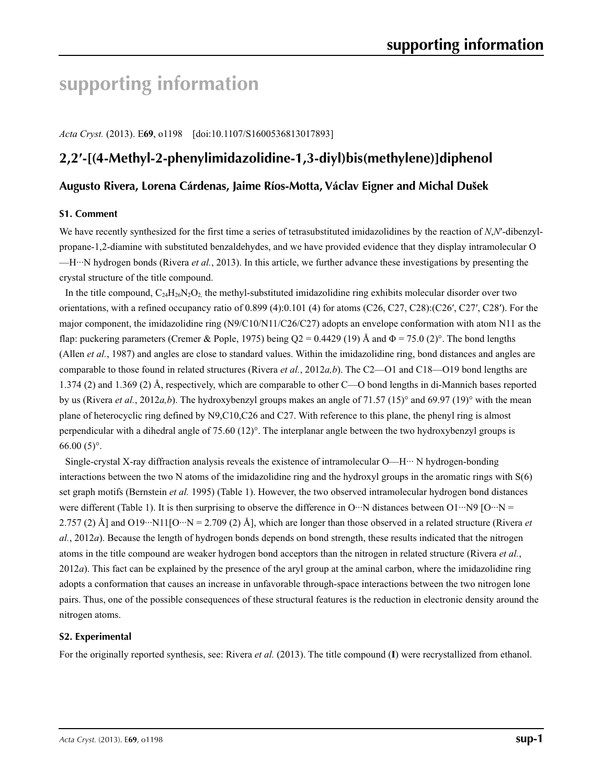# **supporting information**

*Acta Cryst.* (2013). E**69**, o1198 [doi:10.1107/S1600536813017893]

# **2,2′-[(4-Methyl-2-phenylimidazolidine-1,3-diyl)bis(methylene)]diphenol**

## **Augusto Rivera, Lorena Cárdenas, Jaime Ríos-Motta, Václav Eigner and Michal Dušek**

### **S1. Comment**

We have recently synthesized for the first time a series of tetrasubstituted imidazolidines by the reaction of *N*,*N*′-dibenzylpropane-1,2-diamine with substituted benzaldehydes, and we have provided evidence that they display intramolecular O —H···N hydrogen bonds (Rivera *et al.*, 2013). In this article, we further advance these investigations by presenting the crystal structure of the title compound.

In the title compound,  $C_{24}H_{26}N_{2}O_2$ , the methyl-substituted imidazolidine ring exhibits molecular disorder over two orientations, with a refined occupancy ratio of 0.899 (4):0.101 (4) for atoms (C26, C27, C28):(C26′, C27′, C28′). For the major component, the imidazolidine ring (N9/C10/N11/C26/C27) adopts an envelope conformation with atom N11 as the flap: puckering parameters (Cremer & Pople, 1975) being  $Q2 = 0.4429$  (19) Å and  $\Phi = 75.0$  (2)°. The bond lengths (Allen *et al.*, 1987) and angles are close to standard values. Within the imidazolidine ring, bond distances and angles are comparable to those found in related structures (Rivera *et al.*, 2012*a,b*). The C2—O1 and C18—O19 bond lengths are 1.374 (2) and 1.369 (2) Å, respectively, which are comparable to other C—O bond lengths in di-Mannich bases reported by us (Rivera *et al.*, 2012*a,b*). The hydroxybenzyl groups makes an angle of 71.57 (15)° and 69.97 (19)° with the mean plane of heterocyclic ring defined by N9,C10,C26 and C27. With reference to this plane, the phenyl ring is almost perpendicular with a dihedral angle of 75.60 (12)°. The interplanar angle between the two hydroxybenzyl groups is  $66.00(5)$ °.

Single-crystal X-ray diffraction analysis reveals the existence of intramolecular O—H··· N hydrogen-bonding interactions between the two N atoms of the imidazolidine ring and the hydroxyl groups in the aromatic rings with S(6) set graph motifs (Bernstein *et al.* 1995) (Table 1). However, the two observed intramolecular hydrogen bond distances were different (Table 1). It is then surprising to observe the difference in O…N distances between O1…N9 [O…N = 2.757 (2) Å] and O19···N11[O···N = 2.709 (2) Å], which are longer than those observed in a related structure (Rivera *et al.*, 2012*a*). Because the length of hydrogen bonds depends on bond strength, these results indicated that the nitrogen atoms in the title compound are weaker hydrogen bond acceptors than the nitrogen in related structure (Rivera *et al.*, 2012*a*). This fact can be explained by the presence of the aryl group at the aminal carbon, where the imidazolidine ring adopts a conformation that causes an increase in unfavorable through-space interactions between the two nitrogen lone pairs. Thus, one of the possible consequences of these structural features is the reduction in electronic density around the nitrogen atoms.

### **S2. Experimental**

For the originally reported synthesis, see: Rivera *et al.* (2013). The title compound (**I**) were recrystallized from ethanol.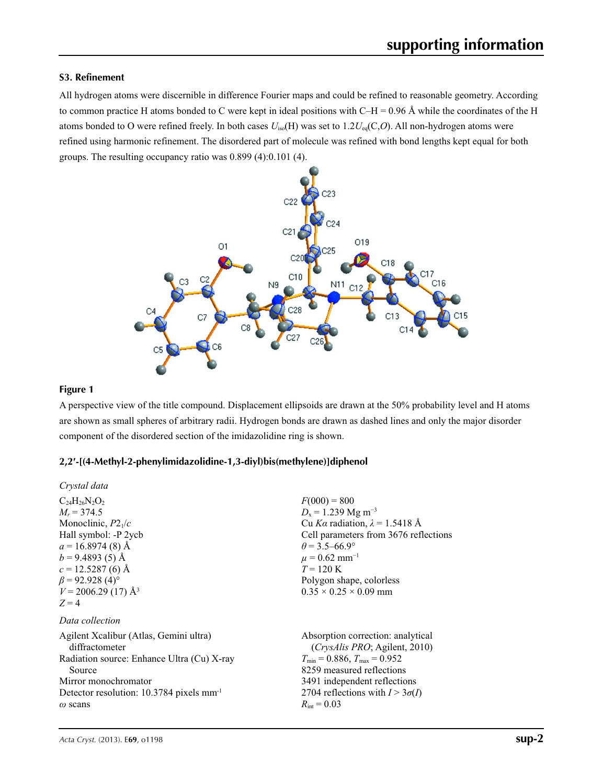## **S3. Refinement**

All hydrogen atoms were discernible in difference Fourier maps and could be refined to reasonable geometry. According to common practice H atoms bonded to C were kept in ideal positions with C–H = 0.96 Å while the coordinates of the H atoms bonded to O were refined freely. In both cases *U*iso(H) was set to 1.2*U*eq(C,*O*). All non-hydrogen atoms were refined using harmonic refinement. The disordered part of molecule was refined with bond lengths kept equal for both groups. The resulting occupancy ratio was 0.899 (4):0.101 (4).



### **Figure 1**

A perspective view of the title compound. Displacement ellipsoids are drawn at the 50% probability level and H atoms are shown as small spheres of arbitrary radii. Hydrogen bonds are drawn as dashed lines and only the major disorder component of the disordered section of the imidazolidine ring is shown.

## **2,2′-[(4-Methyl-2-phenylimidazolidine-1,3-diyl)bis(methylene)]diphenol**

| Crystal data                                                                                                                                                                                                                               |                                                                                                                                                                                                                                                                                       |
|--------------------------------------------------------------------------------------------------------------------------------------------------------------------------------------------------------------------------------------------|---------------------------------------------------------------------------------------------------------------------------------------------------------------------------------------------------------------------------------------------------------------------------------------|
| $C_{24}H_{26}N_2O_2$<br>$M_r = 374.5$<br>Monoclinic, $P2_1/c$<br>Hall symbol: -P 2ycb<br>$a = 16.8974(8)$ Å<br>$b = 9.4893(5)$ Å<br>$c = 12.5287(6)$ Å<br>$\beta$ = 92.928 (4) <sup>o</sup><br>$V = 2006.29(17)$ Å <sup>3</sup><br>$Z = 4$ | $F(000) = 800$<br>$D_x = 1.239$ Mg m <sup>-3</sup><br>Cu Ka radiation, $\lambda = 1.5418$ Å<br>Cell parameters from 3676 reflections<br>$\theta$ = 3.5–66.9°<br>$\mu = 0.62$ mm <sup>-1</sup><br>$T = 120 \text{ K}$<br>Polygon shape, colorless<br>$0.35 \times 0.25 \times 0.09$ mm |
| Data collection                                                                                                                                                                                                                            |                                                                                                                                                                                                                                                                                       |
| Agilent Xcalibur (Atlas, Gemini ultra)<br>diffractometer<br>Radiation source: Enhance Ultra (Cu) X-ray<br>Source<br>Mirror monochromator<br>Detector resolution: $10.3784$ pixels mm <sup>-1</sup><br>$\omega$ scans                       | Absorption correction: analytical<br><i>(CrysAlis PRO</i> ; Agilent, 2010)<br>$T_{\text{min}}$ = 0.886, $T_{\text{max}}$ = 0.952<br>8259 measured reflections<br>3491 independent reflections<br>2704 reflections with $I > 3\sigma(I)$<br>$R_{\text{int}} = 0.03$                    |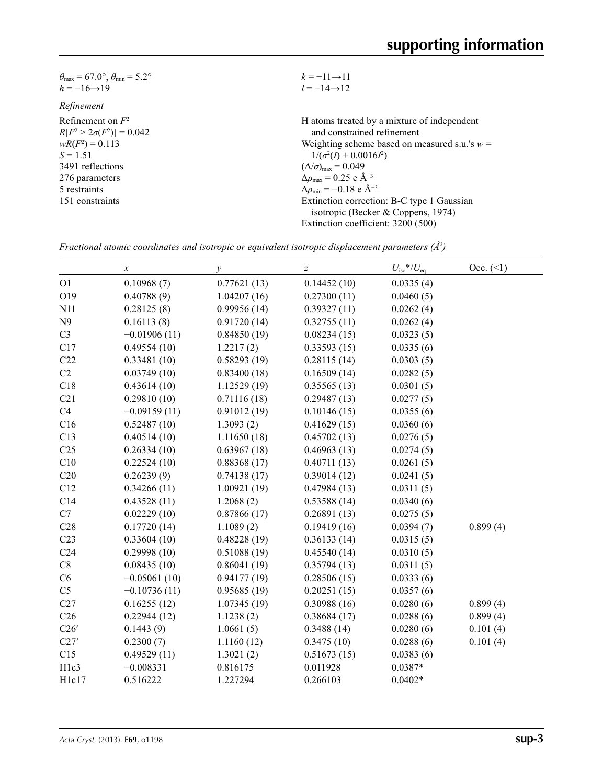| $k = -11 \rightarrow 11$                           |
|----------------------------------------------------|
| $l = -14 \rightarrow 12$                           |
|                                                    |
| H atoms treated by a mixture of independent        |
| and constrained refinement                         |
| Weighting scheme based on measured s.u.'s $w =$    |
| $1/(\sigma^2(I) + 0.0016I^2)$                      |
| $(\Delta/\sigma)_{\text{max}} = 0.049$             |
| $\Delta\rho_{\text{max}}$ = 0.25 e Å <sup>-3</sup> |
| $\Delta\rho_{\rm min} = -0.18$ e Å <sup>-3</sup>   |
| Extinction correction: B-C type 1 Gaussian         |
| isotropic (Becker & Coppens, 1974)                 |
| Extinction coefficient: 3200 (500)                 |
|                                                    |

*Fractional atomic coordinates and isotropic or equivalent isotropic displacement parameters (Å<sup>2</sup>)* 

|                   | $\boldsymbol{x}$ | $\mathcal{Y}$ | $\boldsymbol{Z}$ | $U_{\rm iso}$ */ $U_{\rm eq}$ | Occ. (2) |
|-------------------|------------------|---------------|------------------|-------------------------------|----------|
| O <sub>1</sub>    | 0.10968(7)       | 0.77621(13)   | 0.14452(10)      | 0.0335(4)                     |          |
| O19               | 0.40788(9)       | 1.04207(16)   | 0.27300(11)      | 0.0460(5)                     |          |
| N11               | 0.28125(8)       | 0.99956(14)   | 0.39327(11)      | 0.0262(4)                     |          |
| N9                | 0.16113(8)       | 0.91720(14)   | 0.32755(11)      | 0.0262(4)                     |          |
| C <sub>3</sub>    | $-0.01906(11)$   | 0.84850(19)   | 0.08234(15)      | 0.0323(5)                     |          |
| C17               | 0.49554(10)      | 1.2217(2)     | 0.33593(15)      | 0.0335(6)                     |          |
| C22               | 0.33481(10)      | 0.58293(19)   | 0.28115(14)      | 0.0303(5)                     |          |
| C2                | 0.03749(10)      | 0.83400(18)   | 0.16509(14)      | 0.0282(5)                     |          |
| C18               | 0.43614(10)      | 1.12529(19)   | 0.35565(13)      | 0.0301(5)                     |          |
| C21               | 0.29810(10)      | 0.71116(18)   | 0.29487(13)      | 0.0277(5)                     |          |
| C4                | $-0.09159(11)$   | 0.91012(19)   | 0.10146(15)      | 0.0355(6)                     |          |
| C16               | 0.52487(10)      | 1.3093(2)     | 0.41629(15)      | 0.0360(6)                     |          |
| C13               | 0.40514(10)      | 1.11650(18)   | 0.45702(13)      | 0.0276(5)                     |          |
| C <sub>25</sub>   | 0.26334(10)      | 0.63967(18)   | 0.46963(13)      | 0.0274(5)                     |          |
| C10               | 0.22524(10)      | 0.88368(17)   | 0.40711(13)      | 0.0261(5)                     |          |
| C20               | 0.26239(9)       | 0.74138(17)   | 0.39014(12)      | 0.0241(5)                     |          |
| C12               | 0.34266(11)      | 1.00921(19)   | 0.47984(13)      | 0.0311(5)                     |          |
| C14               | 0.43528(11)      | 1.2068(2)     | 0.53588(14)      | 0.0340(6)                     |          |
| C7                | 0.02229(10)      | 0.87866(17)   | 0.26891(13)      | 0.0275(5)                     |          |
| C28               | 0.17720(14)      | 1.1089(2)     | 0.19419(16)      | 0.0394(7)                     | 0.899(4) |
| C <sub>23</sub>   | 0.33604(10)      | 0.48228(19)   | 0.36133(14)      | 0.0315(5)                     |          |
| C <sub>24</sub>   | 0.29998(10)      | 0.51088(19)   | 0.45540(14)      | 0.0310(5)                     |          |
| C8                | 0.08435(10)      | 0.86041(19)   | 0.35794(13)      | 0.0311(5)                     |          |
| C6                | $-0.05061(10)$   | 0.94177(19)   | 0.28506(15)      | 0.0333(6)                     |          |
| C <sub>5</sub>    | $-0.10736(11)$   | 0.95685(19)   | 0.20251(15)      | 0.0357(6)                     |          |
| C27               | 0.16255(12)      | 1.07345(19)   | 0.30988(16)      | 0.0280(6)                     | 0.899(4) |
| C <sub>26</sub>   | 0.22944(12)      | 1.1238(2)     | 0.38684(17)      | 0.0288(6)                     | 0.899(4) |
| C26'              | 0.1443(9)        | 1.0661(5)     | 0.3488(14)       | 0.0280(6)                     | 0.101(4) |
| C27'              | 0.2300(7)        | 1.1160(12)    | 0.3475(10)       | 0.0288(6)                     | 0.101(4) |
| C15               | 0.49529(11)      | 1.3021(2)     | 0.51673(15)      | 0.0383(6)                     |          |
| H <sub>1c</sub> 3 | $-0.008331$      | 0.816175      | 0.011928         | $0.0387*$                     |          |
| H <sub>1c17</sub> | 0.516222         | 1.227294      | 0.266103         | $0.0402*$                     |          |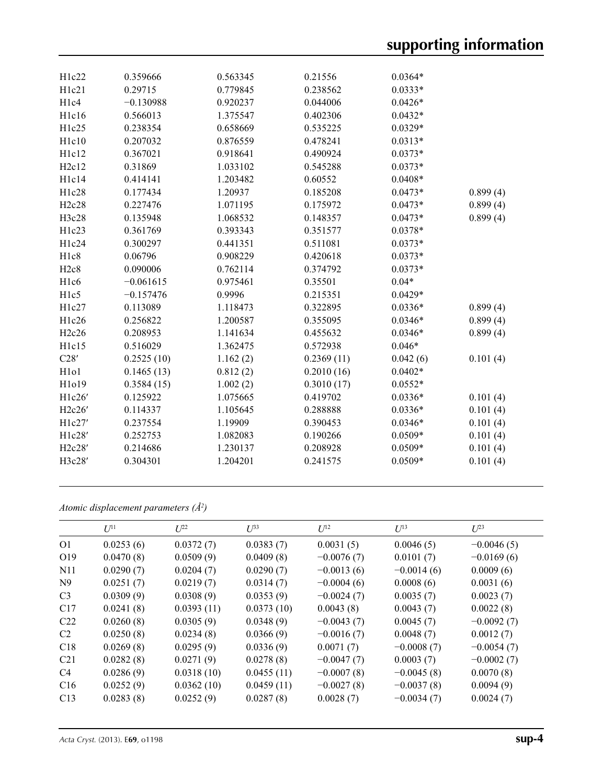| H1c22                         | 0.359666    | 0.563345 | 0.21556    | $0.0364*$ |          |
|-------------------------------|-------------|----------|------------|-----------|----------|
| H1c21                         | 0.29715     | 0.779845 | 0.238562   | $0.0333*$ |          |
| H <sub>1c4</sub>              | $-0.130988$ | 0.920237 | 0.044006   | $0.0426*$ |          |
| H1c16                         | 0.566013    | 1.375547 | 0.402306   | $0.0432*$ |          |
| H1c25                         | 0.238354    | 0.658669 | 0.535225   | $0.0329*$ |          |
| H1c10                         | 0.207032    | 0.876559 | 0.478241   | $0.0313*$ |          |
| H1c12                         | 0.367021    | 0.918641 | 0.490924   | $0.0373*$ |          |
| H2c12                         | 0.31869     | 1.033102 | 0.545288   | $0.0373*$ |          |
| H1c14                         | 0.414141    | 1.203482 | 0.60552    | $0.0408*$ |          |
| H1c28                         | 0.177434    | 1.20937  | 0.185208   | $0.0473*$ | 0.899(4) |
| H2c28                         | 0.227476    | 1.071195 | 0.175972   | $0.0473*$ | 0.899(4) |
| H3c28                         | 0.135948    | 1.068532 | 0.148357   | $0.0473*$ | 0.899(4) |
| H1c23                         | 0.361769    | 0.393343 | 0.351577   | $0.0378*$ |          |
| H1c24                         | 0.300297    | 0.441351 | 0.511081   | $0.0373*$ |          |
| H <sub>1c8</sub>              | 0.06796     | 0.908229 | 0.420618   | $0.0373*$ |          |
| H2c8                          | 0.090006    | 0.762114 | 0.374792   | $0.0373*$ |          |
| H <sub>1c6</sub>              | $-0.061615$ | 0.975461 | 0.35501    | $0.04*$   |          |
| H <sub>1c5</sub>              | $-0.157476$ | 0.9996   | 0.215351   | $0.0429*$ |          |
| H1c27                         | 0.113089    | 1.118473 | 0.322895   | $0.0336*$ | 0.899(4) |
| H1c26                         | 0.256822    | 1.200587 | 0.355095   | $0.0346*$ | 0.899(4) |
| H2c26                         | 0.208953    | 1.141634 | 0.455632   | $0.0346*$ | 0.899(4) |
| H1c15                         | 0.516029    | 1.362475 | 0.572938   | $0.046*$  |          |
| C28'                          | 0.2525(10)  | 1.162(2) | 0.2369(11) | 0.042(6)  | 0.101(4) |
| H <sub>1</sub> o <sub>1</sub> | 0.1465(13)  | 0.812(2) | 0.2010(16) | $0.0402*$ |          |
| H1019                         | 0.3584(15)  | 1.002(2) | 0.3010(17) | $0.0552*$ |          |
| H1c26'                        | 0.125922    | 1.075665 | 0.419702   | $0.0336*$ | 0.101(4) |
| H2c26'                        | 0.114337    | 1.105645 | 0.288888   | $0.0336*$ | 0.101(4) |
| H1c27'                        | 0.237554    | 1.19909  | 0.390453   | $0.0346*$ | 0.101(4) |
| H1c28'                        | 0.252753    | 1.082083 | 0.190266   | $0.0509*$ | 0.101(4) |
| H2c28'                        | 0.214686    | 1.230137 | 0.208928   | $0.0509*$ | 0.101(4) |
| H3c28'                        | 0.304301    | 1.204201 | 0.241575   | $0.0509*$ | 0.101(4) |
|                               |             |          |            |           |          |

*Atomic displacement parameters (Å2 )*

|                 | $U^{11}$  | $L^{22}$   | $U^{33}$   | I/I <sup>2</sup> | $U^{13}$     | $L^{23}$     |
|-----------------|-----------|------------|------------|------------------|--------------|--------------|
| O <sub>1</sub>  | 0.0253(6) | 0.0372(7)  | 0.0383(7)  | 0.0031(5)        | 0.0046(5)    | $-0.0046(5)$ |
| O <sub>19</sub> | 0.0470(8) | 0.0509(9)  | 0.0409(8)  | $-0.0076(7)$     | 0.0101(7)    | $-0.0169(6)$ |
| N <sub>11</sub> | 0.0290(7) | 0.0204(7)  | 0.0290(7)  | $-0.0013(6)$     | $-0.0014(6)$ | 0.0009(6)    |
| N9              | 0.0251(7) | 0.0219(7)  | 0.0314(7)  | $-0.0004(6)$     | 0.0008(6)    | 0.0031(6)    |
| C <sub>3</sub>  | 0.0309(9) | 0.0308(9)  | 0.0353(9)  | $-0.0024(7)$     | 0.0035(7)    | 0.0023(7)    |
| C17             | 0.0241(8) | 0.0393(11) | 0.0373(10) | 0.0043(8)        | 0.0043(7)    | 0.0022(8)    |
| C <sub>22</sub> | 0.0260(8) | 0.0305(9)  | 0.0348(9)  | $-0.0043(7)$     | 0.0045(7)    | $-0.0092(7)$ |
| C2              | 0.0250(8) | 0.0234(8)  | 0.0366(9)  | $-0.0016(7)$     | 0.0048(7)    | 0.0012(7)    |
| C18             | 0.0269(8) | 0.0295(9)  | 0.0336(9)  | 0.0071(7)        | $-0.0008(7)$ | $-0.0054(7)$ |
| C <sub>21</sub> | 0.0282(8) | 0.0271(9)  | 0.0278(8)  | $-0.0047(7)$     | 0.0003(7)    | $-0.0002(7)$ |
| C4              | 0.0286(9) | 0.0318(10) | 0.0455(11) | $-0.0007(8)$     | $-0.0045(8)$ | 0.0070(8)    |
| C16             | 0.0252(9) | 0.0362(10) | 0.0459(11) | $-0.0027(8)$     | $-0.0037(8)$ | 0.0094(9)    |
| C13             | 0.0283(8) | 0.0252(9)  | 0.0287(8)  | 0.0028(7)        | $-0.0034(7)$ | 0.0024(7)    |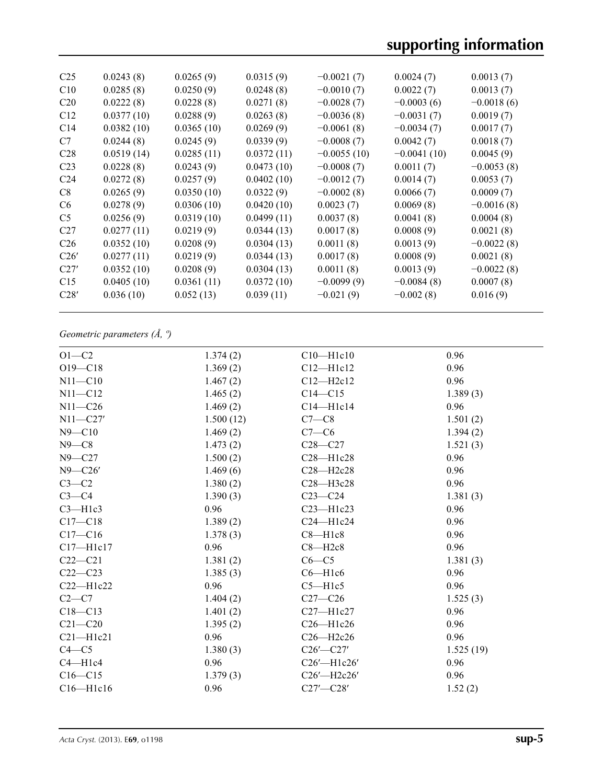| C <sub>25</sub> | 0.0243(8)  | 0.0265(9)  | 0.0315(9)  | $-0.0021(7)$  | 0.0024(7)     | 0.0013(7)    |
|-----------------|------------|------------|------------|---------------|---------------|--------------|
| C10             | 0.0285(8)  | 0.0250(9)  | 0.0248(8)  | $-0.0010(7)$  | 0.0022(7)     | 0.0013(7)    |
| C <sub>20</sub> | 0.0222(8)  | 0.0228(8)  | 0.0271(8)  | $-0.0028(7)$  | $-0.0003(6)$  | $-0.0018(6)$ |
| C12             | 0.0377(10) | 0.0288(9)  | 0.0263(8)  | $-0.0036(8)$  | $-0.0031(7)$  | 0.0019(7)    |
| C <sub>14</sub> | 0.0382(10) | 0.0365(10) | 0.0269(9)  | $-0.0061(8)$  | $-0.0034(7)$  | 0.0017(7)    |
| C7              | 0.0244(8)  | 0.0245(9)  | 0.0339(9)  | $-0.0008(7)$  | 0.0042(7)     | 0.0018(7)    |
| C <sub>28</sub> | 0.0519(14) | 0.0285(11) | 0.0372(11) | $-0.0055(10)$ | $-0.0041(10)$ | 0.0045(9)    |
| C <sub>23</sub> | 0.0228(8)  | 0.0243(9)  | 0.0473(10) | $-0.0008(7)$  | 0.0011(7)     | $-0.0053(8)$ |
| C <sub>24</sub> | 0.0272(8)  | 0.0257(9)  | 0.0402(10) | $-0.0012(7)$  | 0.0014(7)     | 0.0053(7)    |
| C8              | 0.0265(9)  | 0.0350(10) | 0.0322(9)  | $-0.0002(8)$  | 0.0066(7)     | 0.0009(7)    |
| C <sub>6</sub>  | 0.0278(9)  | 0.0306(10) | 0.0420(10) | 0.0023(7)     | 0.0069(8)     | $-0.0016(8)$ |
| C <sub>5</sub>  | 0.0256(9)  | 0.0319(10) | 0.0499(11) | 0.0037(8)     | 0.0041(8)     | 0.0004(8)    |
| C <sub>27</sub> | 0.0277(11) | 0.0219(9)  | 0.0344(13) | 0.0017(8)     | 0.0008(9)     | 0.0021(8)    |
| C <sub>26</sub> | 0.0352(10) | 0.0208(9)  | 0.0304(13) | 0.0011(8)     | 0.0013(9)     | $-0.0022(8)$ |
| C26'            | 0.0277(11) | 0.0219(9)  | 0.0344(13) | 0.0017(8)     | 0.0008(9)     | 0.0021(8)    |
| C27'            | 0.0352(10) | 0.0208(9)  | 0.0304(13) | 0.0011(8)     | 0.0013(9)     | $-0.0022(8)$ |
| C15             | 0.0405(10) | 0.0361(11) | 0.0372(10) | $-0.0099(9)$  | $-0.0084(8)$  | 0.0007(8)    |
| C28'            | 0.036(10)  | 0.052(13)  | 0.039(11)  | $-0.021(9)$   | $-0.002(8)$   | 0.016(9)     |
|                 |            |            |            |               |               |              |

## *Geometric parameters (Å, º)*

| $O1-C2$       | 1.374(2)  | $C10$ — $H1c10$ | 0.96      |
|---------------|-----------|-----------------|-----------|
| $O19 - C18$   | 1.369(2)  | $C12 - H1c12$   | 0.96      |
| $N11 - C10$   | 1.467(2)  | $C12-H2c12$     | 0.96      |
| $N11 - C12$   | 1.465(2)  | $C14 - C15$     | 1.389(3)  |
| $N11 - C26$   | 1.469(2)  | $C14 - H1c14$   | 0.96      |
| $N11 - C27'$  | 1.500(12) | $C7-C8$         | 1.501(2)  |
| $N9 - C10$    | 1.469(2)  | $C7-C6$         | 1.394(2)  |
| $N9-C8$       | 1.473(2)  | $C28 - C27$     | 1.521(3)  |
| $N9 - C27$    | 1.500(2)  | $C28 - H1c28$   | 0.96      |
| $N9 - C26'$   | 1.469(6)  | C28-H2c28       | 0.96      |
| $C3-C2$       | 1.380(2)  | C28-H3c28       | 0.96      |
| $C3-C4$       | 1.390(3)  | $C23-C24$       | 1.381(3)  |
| $C3 - H1c3$   | 0.96      | $C23$ —H $1c23$ | 0.96      |
| $C17 - C18$   | 1.389(2)  | $C24 - H1c24$   | 0.96      |
| $C17 - C16$   | 1.378(3)  | $C8 - H1c8$     | 0.96      |
| $C17 - H1c17$ | 0.96      | $C8 - H2c8$     | 0.96      |
| $C22-C21$     | 1.381(2)  | $C6-C5$         | 1.381(3)  |
| $C22-C23$     | 1.385(3)  | $C6 - H1c6$     | 0.96      |
| $C22-H1c22$   | 0.96      | $C5 - H1c5$     | 0.96      |
| $C2-C7$       | 1.404(2)  | $C27-C26$       | 1.525(3)  |
| $C18 - C13$   | 1.401(2)  | C27-H1c27       | 0.96      |
| $C21 - C20$   | 1.395(2)  | $C26 - H1c26$   | 0.96      |
| $C21 - H1c21$ | 0.96      | C26-H2c26       | 0.96      |
| $C4 - C5$     | 1.380(3)  | $C26'$ — $C27'$ | 1.525(19) |
| $C4 - H1c4$   | 0.96      | C26'-H1c26'     | 0.96      |
| $C16-C15$     | 1.379(3)  | C26'-H2c26'     | 0.96      |
| $C16 - H1c16$ | 0.96      | $C27'$ - $C28'$ | 1.52(2)   |
|               |           |                 |           |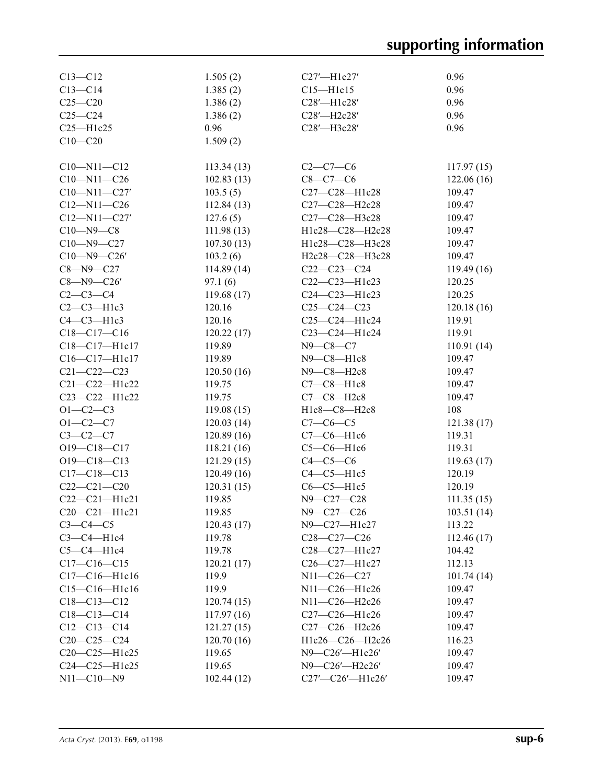| $C13 - C12$        | 1.505(2)    | $C27'$ —H $1c27'$      | 0.96       |
|--------------------|-------------|------------------------|------------|
| $C13-C14$          | 1.385(2)    | $C15 - H1c15$          | 0.96       |
| $C25 - C20$        | 1.386(2)    | C28'-H1c28'            | 0.96       |
| $C25-C24$          | 1.386(2)    | C28'-H2c28'            | 0.96       |
| $C25 - H1c25$      | 0.96        | C28'-H3c28'            | 0.96       |
| $C10 - C20$        | 1.509(2)    |                        |            |
|                    |             |                        |            |
| $C10 - N11 - C12$  | 113.34(13)  | $C2-C7-C6$             | 117.97(15) |
| $C10 - N11 - C26$  | 102.83(13)  | $C8-C7-C6$             | 122.06(16) |
| $C10 - N11 - C27'$ | 103.5(5)    | C27-C28-H1c28          | 109.47     |
| $C12 - N11 - C26$  | 112.84(13)  | C27-C28-H2c28          | 109.47     |
| $C12 - N11 - C27'$ | 127.6(5)    | C27-C28-H3c28          | 109.47     |
| $C10 - N9 - C8$    | 111.98(13)  | H1c28-C28-H2c28        | 109.47     |
| $C10 - N9 - C27$   | 107.30(13)  | H1c28-C28-H3c28        | 109.47     |
| $C10 - N9 - C26'$  | 103.2(6)    | H2c28-C28-H3c28        | 109.47     |
| $C8 - N9 - C27$    | 114.89(14)  | $C22-C23-C24$          | 119.49(16) |
| $C8 - N9 - C26'$   | 97.1(6)     | C22-C23-H1c23          | 120.25     |
| $C2-C3-C4$         | 119.68 (17) | C24-C23-H1c23          | 120.25     |
| $C2-C3-H1c3$       | 120.16      | $C25-C24-C23$          | 120.18(16) |
| $C4-C3-H1c3$       | 120.16      | C25-C24-H1c24          | 119.91     |
| $C18 - C17 - C16$  | 120.22(17)  | C23-C24-H1c24          | 119.91     |
| C18-C17-H1c17      | 119.89      | $N9 - C8 - C7$         | 110.91(14) |
| C16-C17-H1c17      | 119.89      | $N9-C8-H1c8$           | 109.47     |
| $C21 - C22 - C23$  | 120.50(16)  | N9-C8-H2c8             | 109.47     |
| C21-C22-H1c22      | 119.75      | $C7-C8-H1c8$           | 109.47     |
| C23-C22-H1c22      | 119.75      | C7-C8-H2c8             | 109.47     |
| $O1 - C2 - C3$     | 119.08(15)  | H1c8-C8-H2c8           | 108        |
| $O1 - C2 - C7$     | 120.03(14)  | $C7-C6-C5$             | 121.38(17) |
| $C3-C2-C7$         | 120.89(16)  | $C7-C6-H1c6$           | 119.31     |
| O19-C18-C17        | 118.21(16)  | $C5-C6-H1c6$           | 119.31     |
| O19-C18-C13        | 121.29(15)  | $C4-C5-C6$             | 119.63(17) |
| $C17 - C18 - C13$  | 120.49(16)  | $C4-C5-H1c5$           | 120.19     |
| $C22-C21-C20$      | 120.31(15)  | $C6-C5-H1c5$           | 120.19     |
| $C22-C21-H1c21$    | 119.85      | N9-C27-C28             | 111.35(15) |
| $C20-C21-H1c21$    | 119.85      | N9-C27-C26             | 103.51(14) |
| $C3-C4-C5$         | 120.43(17)  | $N9$ — $C27$ — $H1c27$ | 113.22     |
| $C3-C4-H1c4$       | 119.78      | $C28-C27-C26$          | 112.46(17) |
| $C5-C4-H1c4$       | 119.78      | C28-C27-H1c27          | 104.42     |
| $C17 - C16 - C15$  | 120.21(17)  | C26-C27-H1c27          | 112.13     |
| $C17-C16-H1c16$    | 119.9       | N11-C26-C27            | 101.74(14) |
| $C15-C16-H1c16$    | 119.9       | N11-C26-H1c26          | 109.47     |
| $C18 - C13 - C12$  | 120.74(15)  | N11-C26-H2c26          | 109.47     |
| $C18 - C13 - C14$  | 117.97(16)  | C27-C26-H1c26          | 109.47     |
| $C12 - C13 - C14$  | 121.27(15)  | C27-C26-H2c26          | 109.47     |
| $C20-C25-C24$      | 120.70(16)  | H1c26-C26-H2c26        | 116.23     |
| C20-C25-H1c25      | 119.65      | N9-C26'-H1c26'         | 109.47     |
| $C24-C25-H1c25$    | 119.65      | N9-C26'-H2c26'         | 109.47     |
| $N11 - C10 - N9$   | 102.44(12)  | C27'-C26'-H1c26'       | 109.47     |